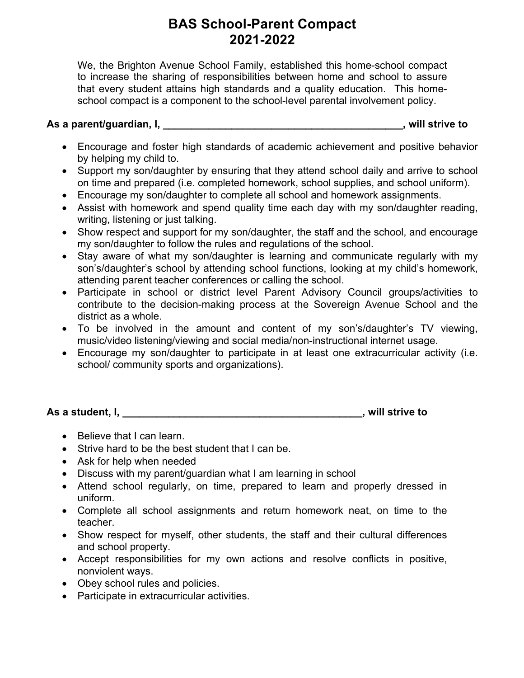## **BAS School-Parent Compact 2021-2022**

We, the Brighton Avenue School Family, established this home-school compact to increase the sharing of responsibilities between home and school to assure that every student attains high standards and a quality education. This homeschool compact is a component to the school-level parental involvement policy.

## **As a parent/guardian, I, \_\_\_\_\_\_\_\_\_\_\_\_\_\_\_\_\_\_\_\_\_\_\_\_\_\_\_\_\_\_\_\_\_\_\_\_\_\_\_\_\_\_, will strive to**

- Encourage and foster high standards of academic achievement and positive behavior by helping my child to.
- Support my son/daughter by ensuring that they attend school daily and arrive to school on time and prepared (i.e. completed homework, school supplies, and school uniform).
- Encourage my son/daughter to complete all school and homework assignments.
- Assist with homework and spend quality time each day with my son/daughter reading, writing, listening or just talking.
- Show respect and support for my son/daughter, the staff and the school, and encourage my son/daughter to follow the rules and regulations of the school.
- Stay aware of what my son/daughter is learning and communicate regularly with my son's/daughter's school by attending school functions, looking at my child's homework, attending parent teacher conferences or calling the school.
- Participate in school or district level Parent Advisory Council groups/activities to contribute to the decision-making process at the Sovereign Avenue School and the district as a whole.
- To be involved in the amount and content of my son's/daughter's TV viewing, music/video listening/viewing and social media/non-instructional internet usage.
- Encourage my son/daughter to participate in at least one extracurricular activity (i.e. school/ community sports and organizations).

**As a student, I, \_\_\_\_\_\_\_\_\_\_\_\_\_\_\_\_\_\_\_\_\_\_\_\_\_\_\_\_\_\_\_\_\_\_\_\_\_\_\_\_\_\_, will strive to**

- Believe that I can learn.
- Strive hard to be the best student that I can be.
- Ask for help when needed
- Discuss with my parent/guardian what I am learning in school
- Attend school regularly, on time, prepared to learn and properly dressed in uniform.
- Complete all school assignments and return homework neat, on time to the teacher.
- Show respect for myself, other students, the staff and their cultural differences and school property.
- Accept responsibilities for my own actions and resolve conflicts in positive, nonviolent ways.
- Obey school rules and policies.
- Participate in extracurricular activities.